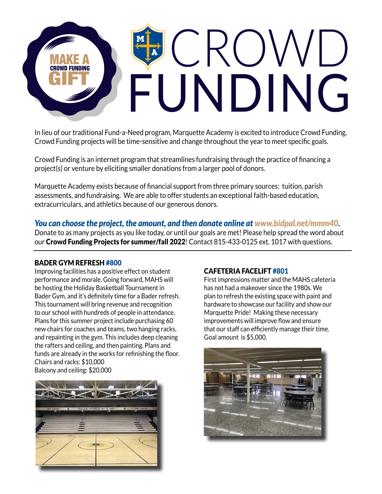

In lieu of our traditional Fund-a-Need program, Marquette Academy is excited to introduce Crowd Funding. Crowd Funding projects will be time-sensitive and change throughout the year to meet specific goals.

Crowd Funding is an internet program that streamlines fundraising through the practice of financing a project(s) or venture by eliciting smaller donations from a larger pool of donors.

Marquette Academy exists because of financial support from three primary sources: tuition, parish assessments, and fundraising. We are able to offer students an exceptional faith-based education, extracurriculars, and athletics because of our generous donors.

*You can choose the project, the amount, and then donate online at www.bidpal.net/mmm40.*  Donate to as many projects as you like today, or until our goals are met! Please help spread the word about our Crowd Funding Projects for summer/fall 2022! Contact 815-433-0125 ext. 1017 with questions.

#### BADER GYM REFRESH #800

Improving facilities has a positive effect on student performance and morale. Going forward, MAHS will be hosting the Holiday Basketball Tournament in Bader Gym, and it's definitely time for a Bader refresh. This tournament will bring revenue and recognition to our school with hundreds of people in attendance. Plans for this summer project include purchasing 60 new chairs for coaches and teams, two hanging racks, and repainting in the gym. This includes deep cleaning the rafters and ceiling, and then painting. Plans and funds are already in the works for refinishing the floor. Chairs and racks: \$10,000 Balcony and ceiling: \$20,000



#### CAFETERIA FACELIFT #801

First impressions matter and the MAHS cafeteria has not had a makeover since the 1980s. We plan to refresh the existing space with paint and hardware to showcase our facility and show our Marquette Pride! Making these necessary improvements will improve flow and ensure that our staff can efficiently manage their time. Goal amount is \$5,000.